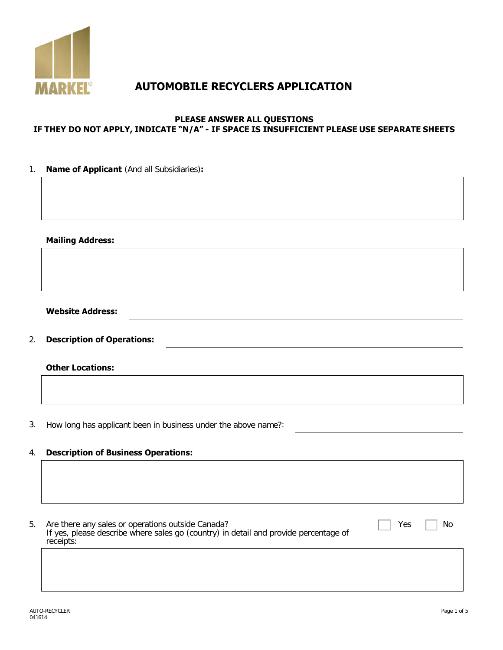

# **AUTOMOBILE RECYCLERS APPLICATION**

#### **PLEASE ANSWER ALL QUESTIONS IF THEY DO NOT APPLY, INDICATE "N/A" - IF SPACE IS INSUFFICIENT PLEASE USE SEPARATE SHEETS**

| 1. | Name of Applicant (And all Subsidiaries):                                                                                                                           |
|----|---------------------------------------------------------------------------------------------------------------------------------------------------------------------|
|    |                                                                                                                                                                     |
|    |                                                                                                                                                                     |
|    |                                                                                                                                                                     |
|    | <b>Mailing Address:</b>                                                                                                                                             |
|    |                                                                                                                                                                     |
|    |                                                                                                                                                                     |
|    |                                                                                                                                                                     |
|    | <b>Website Address:</b>                                                                                                                                             |
|    |                                                                                                                                                                     |
| 2. | <b>Description of Operations:</b>                                                                                                                                   |
|    | <b>Other Locations:</b>                                                                                                                                             |
|    |                                                                                                                                                                     |
|    |                                                                                                                                                                     |
| 3. | How long has applicant been in business under the above name?:                                                                                                      |
| 4. | <b>Description of Business Operations:</b>                                                                                                                          |
|    |                                                                                                                                                                     |
|    |                                                                                                                                                                     |
|    |                                                                                                                                                                     |
| 5. | Are there any sales or operations outside Canada?<br>If yes, please describe where sales go (country) in detail and provide percentage of<br>Yes<br>No<br>receipts: |
|    |                                                                                                                                                                     |
|    |                                                                                                                                                                     |
|    |                                                                                                                                                                     |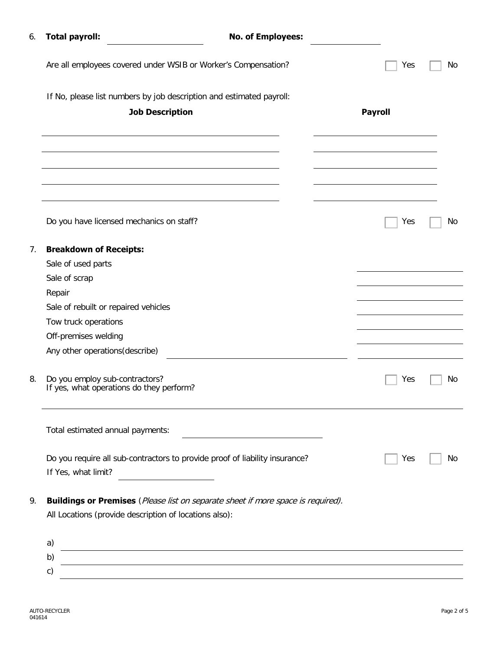| 6. | <b>Total payroll:</b>                                                                                                                                                               | <b>No. of Employees:</b> |                |    |
|----|-------------------------------------------------------------------------------------------------------------------------------------------------------------------------------------|--------------------------|----------------|----|
|    | Are all employees covered under WSIB or Worker's Compensation?                                                                                                                      |                          | Yes            | No |
|    | If No, please list numbers by job description and estimated payroll:                                                                                                                |                          |                |    |
|    | <b>Job Description</b>                                                                                                                                                              |                          | <b>Payroll</b> |    |
|    |                                                                                                                                                                                     |                          |                |    |
|    |                                                                                                                                                                                     |                          |                |    |
|    |                                                                                                                                                                                     |                          |                |    |
|    | Do you have licensed mechanics on staff?                                                                                                                                            |                          | Yes            | No |
| 7. | <b>Breakdown of Receipts:</b>                                                                                                                                                       |                          |                |    |
|    | Sale of used parts                                                                                                                                                                  |                          |                |    |
|    | Sale of scrap                                                                                                                                                                       |                          |                |    |
|    | Repair                                                                                                                                                                              |                          |                |    |
|    | Sale of rebuilt or repaired vehicles                                                                                                                                                |                          |                |    |
|    | Tow truck operations                                                                                                                                                                |                          |                |    |
|    | Off-premises welding                                                                                                                                                                |                          |                |    |
|    | Any other operations (describe)                                                                                                                                                     |                          |                |    |
| 8. | Do you employ sub-contractors?<br>If yes, what operations do they perform?                                                                                                          |                          | Yes            | No |
|    | Total estimated annual payments:                                                                                                                                                    |                          |                |    |
|    | Do you require all sub-contractors to provide proof of liability insurance?                                                                                                         |                          | Yes            | Νo |
|    | If Yes, what limit?                                                                                                                                                                 |                          |                |    |
| 9. | <b>Buildings or Premises</b> (Please list on separate sheet if more space is required).                                                                                             |                          |                |    |
|    | All Locations (provide description of locations also):                                                                                                                              |                          |                |    |
|    | a)                                                                                                                                                                                  |                          |                |    |
|    | <u> 1980 - Johann Stoff, fransk politik (f. 1980)</u><br>b)<br><u> 1989 - Johann Stoff, deutscher Stoff, der Stoff, der Stoff, der Stoff, der Stoff, der Stoff, der Stoff, der </u> |                          |                |    |
|    | c)                                                                                                                                                                                  |                          |                |    |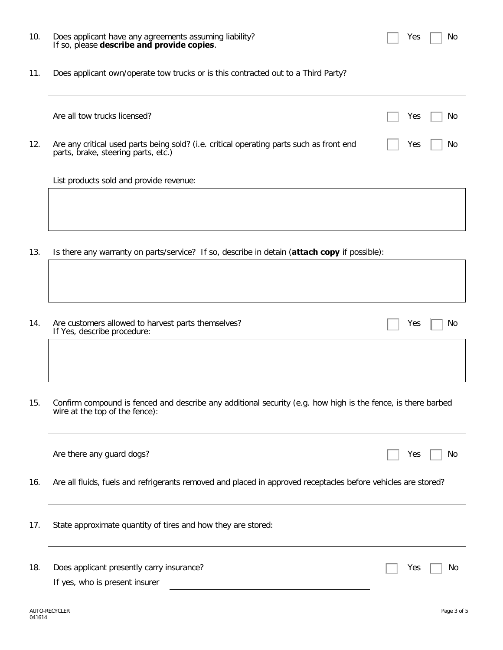#### 10. Does applicant have any agreements assuming liability? If so, please **describe and provide copies**.

11. Does applicant own/operate tow trucks or is this contracted out to a Third Party?

|     | Are all tow trucks licensed?                                                                                                    | Yes | No |
|-----|---------------------------------------------------------------------------------------------------------------------------------|-----|----|
| 12. | Are any critical used parts being sold? (i.e. critical operating parts such as front end<br>parts, brake, steering parts, etc.) | Yes | No |
|     | List products sold and provide revenue:                                                                                         |     |    |
|     |                                                                                                                                 |     |    |
| 13. | Is there any warranty on parts/service? If so, describe in detain ( <b>attach copy</b> if possible):                            |     |    |

- 14. Are customers allowed to harvest parts themselves? If Yes, describe procedure:
- 15. Confirm compound is fenced and describe any additional security (e.g. how high is the fence, is there barbed wire at the top of the fence):

|     | Are there any guard dogs?                                                                                     | No.<br>Yes |
|-----|---------------------------------------------------------------------------------------------------------------|------------|
| 16. | Are all fluids, fuels and refrigerants removed and placed in approved receptacles before vehicles are stored? |            |
| 17. | State approximate quantity of tires and how they are stored:                                                  |            |
| 18. | Does applicant presently carry insurance?<br>If yes, who is present insurer                                   | Yes<br>No. |

Yes  $\Box$  No

Yes  $\Box$  No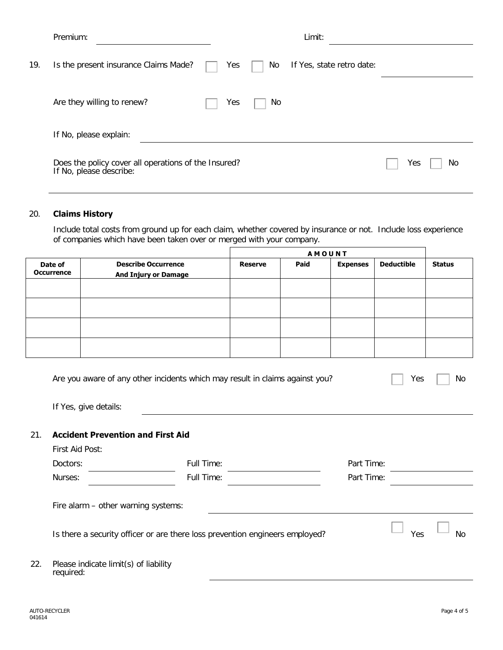|     | Premium:                                                                        |     |    | Limit:                    |           |
|-----|---------------------------------------------------------------------------------|-----|----|---------------------------|-----------|
| 19. | Is the present insurance Claims Made?                                           | Yes | No | If Yes, state retro date: |           |
|     | Are they willing to renew?                                                      | Yes | No |                           |           |
|     | If No, please explain:                                                          |     |    |                           |           |
|     | Does the policy cover all operations of the Insured?<br>If No, please describe: |     |    |                           | Yes<br>No |

### 20. **Claims History**

Include total costs from ground up for each claim, whether covered by insurance or not. Include loss experience of companies which have been taken over or merged with your company.

|                              |                                                           | <b>AMOUNT</b>  |      |                 |                   |               |
|------------------------------|-----------------------------------------------------------|----------------|------|-----------------|-------------------|---------------|
| Date of<br><b>Occurrence</b> | <b>Describe Occurrence</b><br><b>And Injury or Damage</b> | <b>Reserve</b> | Paid | <b>Expenses</b> | <b>Deductible</b> | <b>Status</b> |
|                              |                                                           |                |      |                 |                   |               |
|                              |                                                           |                |      |                 |                   |               |
|                              |                                                           |                |      |                 |                   |               |
|                              |                                                           |                |      |                 |                   |               |

| Are you aware of any other incidents which may result in claims against you? | $\Box$ Yes $\Box$ No |
|------------------------------------------------------------------------------|----------------------|
|                                                                              |                      |

If Yes, give details:

#### 21. **Accident Prevention and First Aid**

|          | First Aid Post:                                    |                                                                              |            |     |           |
|----------|----------------------------------------------------|------------------------------------------------------------------------------|------------|-----|-----------|
| Doctors: |                                                    | Full Time:                                                                   | Part Time: |     |           |
| Nurses:  |                                                    | Full Time:                                                                   | Part Time: |     |           |
|          | Fire alarm $-$ other warning systems:              | Is there a security officer or are there loss prevention engineers employed? |            | Yes | <b>No</b> |
| 22.      | Please indicate limit(s) of liability<br>required: |                                                                              |            |     |           |